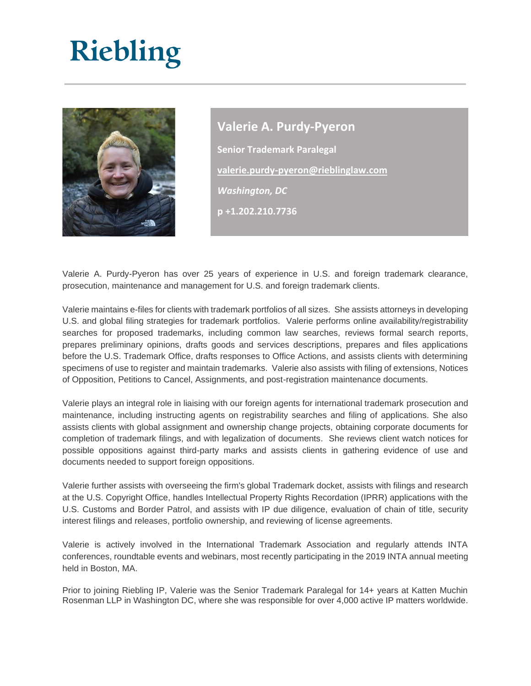## Riebling



**Valerie A. Purdy-Pyeron Senior Trademark Paralegal [valerie.purdy-pyeron@rieblinglaw.com](mailto:valerie.purdy-pyeron@rieblinglaw.com)** *Washington, DC* **p +1.202.210.7736**

Valerie A. Purdy-Pyeron has over 25 years of experience in U.S. and foreign trademark clearance, prosecution, maintenance and management for U.S. and foreign trademark clients.

Valerie maintains e-files for clients with trademark portfolios of all sizes. She assists attorneys in developing U.S. and global filing strategies for trademark portfolios. Valerie performs online availability/registrability searches for proposed trademarks, including common law searches, reviews formal search reports, prepares preliminary opinions, drafts goods and services descriptions, prepares and files applications before the U.S. Trademark Office, drafts responses to Office Actions, and assists clients with determining specimens of use to register and maintain trademarks. Valerie also assists with filing of extensions, Notices of Opposition, Petitions to Cancel, Assignments, and post-registration maintenance documents.

Valerie plays an integral role in liaising with our foreign agents for international trademark prosecution and maintenance, including instructing agents on registrability searches and filing of applications. She also assists clients with global assignment and ownership change projects, obtaining corporate documents for completion of trademark filings, and with legalization of documents. She reviews client watch notices for possible oppositions against third-party marks and assists clients in gathering evidence of use and documents needed to support foreign oppositions.

Valerie further assists with overseeing the firm's global Trademark docket, assists with filings and research at the U.S. Copyright Office, handles Intellectual Property Rights Recordation (IPRR) applications with the U.S. Customs and Border Patrol, and assists with IP due diligence, evaluation of chain of title, security interest filings and releases, portfolio ownership, and reviewing of license agreements.

Valerie is actively involved in the International Trademark Association and regularly attends INTA conferences, roundtable events and webinars, most recently participating in the 2019 INTA annual meeting held in Boston, MA.

Prior to joining Riebling IP, Valerie was the Senior Trademark Paralegal for 14+ years at Katten Muchin Rosenman LLP in Washington DC, where she was responsible for over 4,000 active IP matters worldwide.